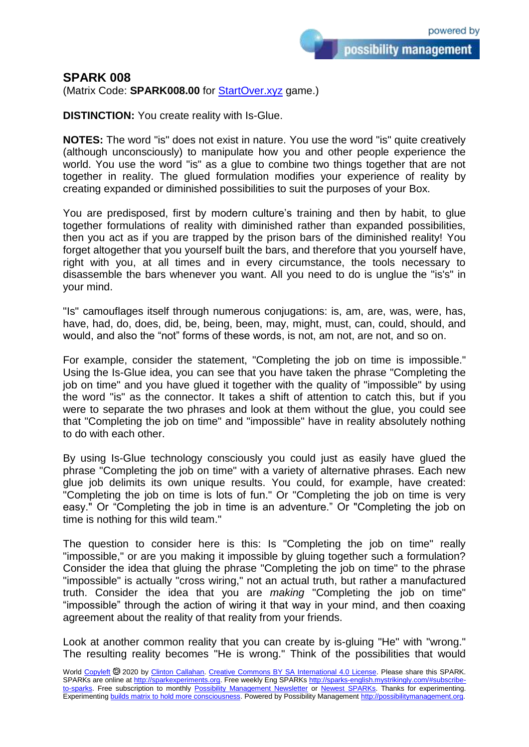possibility management

## **SPARK 008**

(Matrix Code: **SPARK008.00** for [StartOver.xyz](https://startoverxyz.mystrikingly.com/) game.)

**DISTINCTION:** You create reality with Is-Glue.

**NOTES:** The word "is" does not exist in nature. You use the word "is" quite creatively (although unconsciously) to manipulate how you and other people experience the world. You use the word "is" as a glue to combine two things together that are not together in reality. The glued formulation modifies your experience of reality by creating expanded or diminished possibilities to suit the purposes of your Box.

You are predisposed, first by modern culture's training and then by habit, to glue together formulations of reality with diminished rather than expanded possibilities, then you act as if you are trapped by the prison bars of the diminished reality! You forget altogether that you yourself built the bars, and therefore that you yourself have, right with you, at all times and in every circumstance, the tools necessary to disassemble the bars whenever you want. All you need to do is unglue the "is's" in your mind.

"Is" camouflages itself through numerous conjugations: is, am, are, was, were, has, have, had, do, does, did, be, being, been, may, might, must, can, could, should, and would, and also the "not" forms of these words, is not, am not, are not, and so on.

For example, consider the statement, "Completing the job on time is impossible." Using the Is-Glue idea, you can see that you have taken the phrase "Completing the job on time" and you have glued it together with the quality of "impossible" by using the word "is" as the connector. It takes a shift of attention to catch this, but if you were to separate the two phrases and look at them without the glue, you could see that "Completing the job on time" and "impossible" have in reality absolutely nothing to do with each other.

By using Is-Glue technology consciously you could just as easily have glued the phrase "Completing the job on time" with a variety of alternative phrases. Each new glue job delimits its own unique results. You could, for example, have created: "Completing the job on time is lots of fun." Or "Completing the job on time is very easy." Or "Completing the job in time is an adventure." Or "Completing the job on time is nothing for this wild team."

The question to consider here is this: Is "Completing the job on time" really "impossible," or are you making it impossible by gluing together such a formulation? Consider the idea that gluing the phrase "Completing the job on time" to the phrase "impossible" is actually "cross wiring," not an actual truth, but rather a manufactured truth. Consider the idea that you are *making* "Completing the job on time" "impossible" through the action of wiring it that way in your mind, and then coaxing agreement about the reality of that reality from your friends.

Look at another common reality that you can create by is-gluing "He" with "wrong." The resulting reality becomes "He is wrong." Think of the possibilities that would